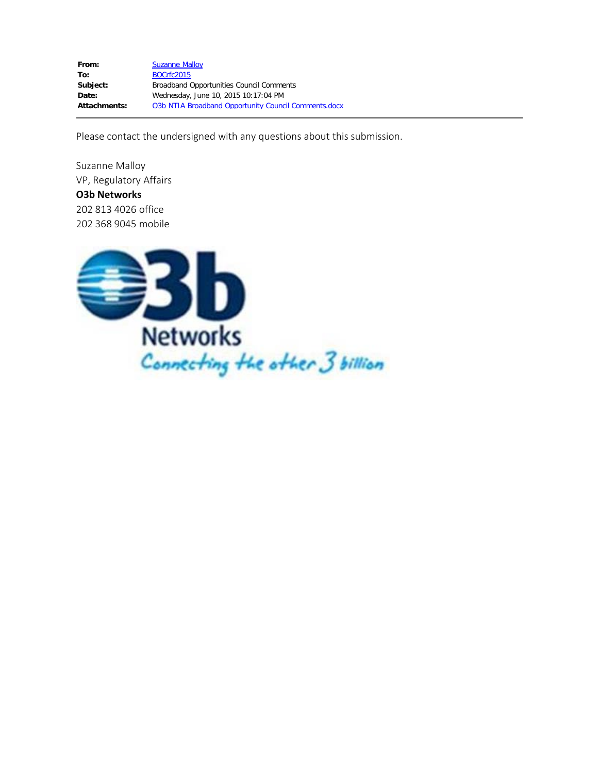From: [Suzanne Malloy](mailto:Suzanne.Malloy@o3bnetworks.com) **To:** [BOCrfc2015](mailto:BOCrfc2015@ntia.doc.gov) Subject: Broadband Opportunities Council Comments **Date:** Wednesday, June 10, 2015 10:17:04 PM Attachments: 03b NTIA Broadband Opportunity Council Comments.docx

Please contact the undersigned with any questions about this submission.

Suzanne Malloy VP, Regulatory Affairs **O3b Networks** 202 813 4026 office 202 368 9045 mobile

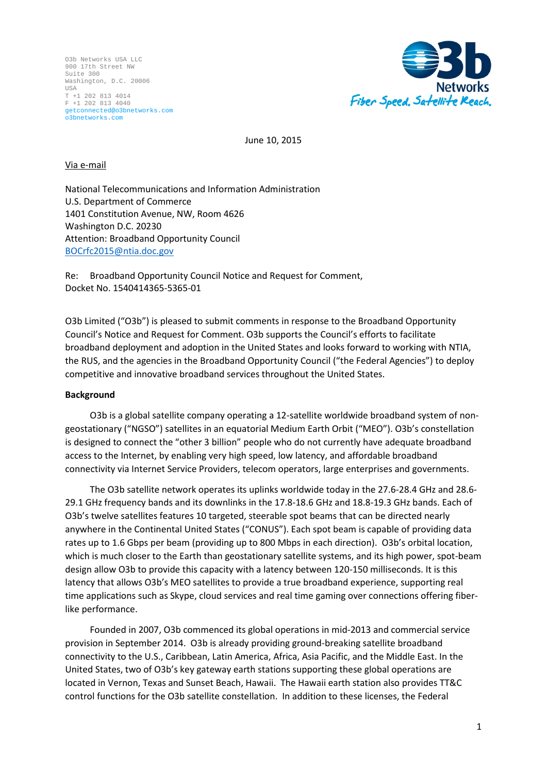

June 10, 2015

### Via e-mail

National Telecommunications and Information Administration U.S. Department of Commerce 1401 Constitution Avenue, NW, Room 4626 Washington D.C. 20230 Attention: Broadband Opportunity Council [BOCrfc2015@ntia.doc.gov](mailto:BOCrfc2015@ntia.doc.gov)

Re: Broadband Opportunity Council Notice and Request for Comment, Docket No. 1540414365-5365-01

O3b Limited ("O3b") is pleased to submit comments in response to the Broadband Opportunity Council's Notice and Request for Comment. O3b supports the Council's efforts to facilitate broadband deployment and adoption in the United States and looks forward to working with NTIA, the RUS, and the agencies in the Broadband Opportunity Council ("the Federal Agencies") to deploy competitive and innovative broadband services throughout the United States.

### **Background**

O3b is a global satellite company operating a 12-satellite worldwide broadband system of nongeostationary ("NGSO") satellites in an equatorial Medium Earth Orbit ("MEO"). O3b's constellation is designed to connect the "other 3 billion" people who do not currently have adequate broadband access to the Internet, by enabling very high speed, low latency, and affordable broadband connectivity via Internet Service Providers, telecom operators, large enterprises and governments.

The O3b satellite network operates its uplinks worldwide today in the 27.6-28.4 GHz and 28.6- 29.1 GHz frequency bands and its downlinks in the 17.8-18.6 GHz and 18.8-19.3 GHz bands. Each of O3b's twelve satellites features 10 targeted, steerable spot beams that can be directed nearly anywhere in the Continental United States ("CONUS"). Each spot beam is capable of providing data rates up to 1.6 Gbps per beam (providing up to 800 Mbps in each direction). O3b's orbital location, which is much closer to the Earth than geostationary satellite systems, and its high power, spot-beam design allow O3b to provide this capacity with a latency between 120-150 milliseconds. It is this latency that allows O3b's MEO satellites to provide a true broadband experience, supporting real time applications such as Skype, cloud services and real time gaming over connections offering fiberlike performance.

Founded in 2007, O3b commenced its global operations in mid-2013 and commercial service provision in September 2014. O3b is already providing ground-breaking satellite broadband connectivity to the U.S., Caribbean, Latin America, Africa, Asia Pacific, and the Middle East. In the United States, two of O3b's key gateway earth stations supporting these global operations are located in Vernon, Texas and Sunset Beach, Hawaii. The Hawaii earth station also provides TT&C control functions for the O3b satellite constellation. In addition to these licenses, the Federal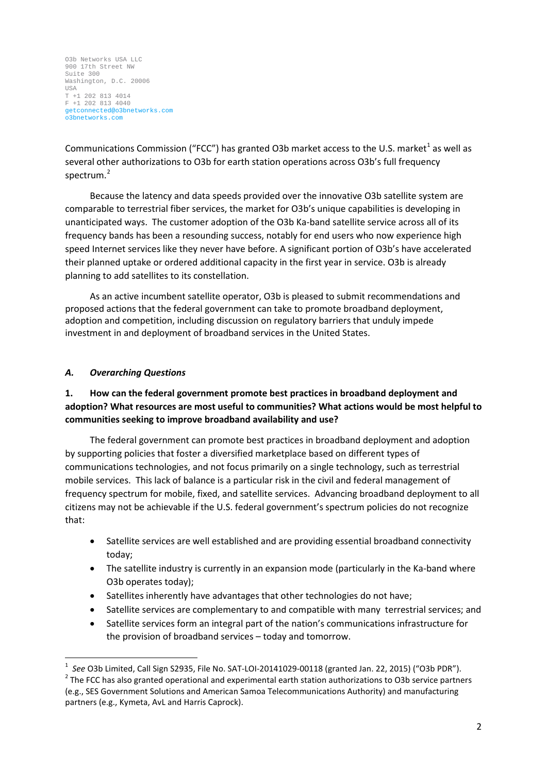Communications Commission ("FCC") has granted O3b market access to the U.S. market<sup>[1](#page-2-0)</sup> as well as several other authorizations to O3b for earth station operations across O3b's full frequency spectrum.<sup>[2](#page-2-1)</sup>

Because the latency and data speeds provided over the innovative O3b satellite system are comparable to terrestrial fiber services, the market for O3b's unique capabilities is developing in unanticipated ways. The customer adoption of the O3b Ka-band satellite service across all of its frequency bands has been a resounding success, notably for end users who now experience high speed Internet services like they never have before. A significant portion of O3b's have accelerated their planned uptake or ordered additional capacity in the first year in service. O3b is already planning to add satellites to its constellation.

As an active incumbent satellite operator, O3b is pleased to submit recommendations and proposed actions that the federal government can take to promote broadband deployment, adoption and competition, including discussion on regulatory barriers that unduly impede investment in and deployment of broadband services in the United States.

### *A. Overarching Questions*

# **1. How can the federal government promote best practices in broadband deployment and adoption? What resources are most useful to communities? What actions would be most helpful to communities seeking to improve broadband availability and use?**

The federal government can promote best practices in broadband deployment and adoption by supporting policies that foster a diversified marketplace based on different types of communications technologies, and not focus primarily on a single technology, such as terrestrial mobile services. This lack of balance is a particular risk in the civil and federal management of frequency spectrum for mobile, fixed, and satellite services. Advancing broadband deployment to all citizens may not be achievable if the U.S. federal government's spectrum policies do not recognize that:

- Satellite services are well established and are providing essential broadband connectivity today;
- The satellite industry is currently in an expansion mode (particularly in the Ka-band where O3b operates today);
- Satellites inherently have advantages that other technologies do not have;
- Satellite services are complementary to and compatible with many terrestrial services; and
- Satellite services form an integral part of the nation's communications infrastructure for the provision of broadband services – today and tomorrow.

<span id="page-2-1"></span><span id="page-2-0"></span> $\frac{1}{1}$ <sup>1</sup> See O3b Limited, Call Sign S2935, File No. SAT-LOI-20141029-00118 (granted Jan. 22, 2015) ("O3b PDR").<br><sup>2</sup> The FCC has also granted operational and experimental earth station authorizations to O3b service partners (e.g., SES Government Solutions and American Samoa Telecommunications Authority) and manufacturing partners (e.g., Kymeta, AvL and Harris Caprock).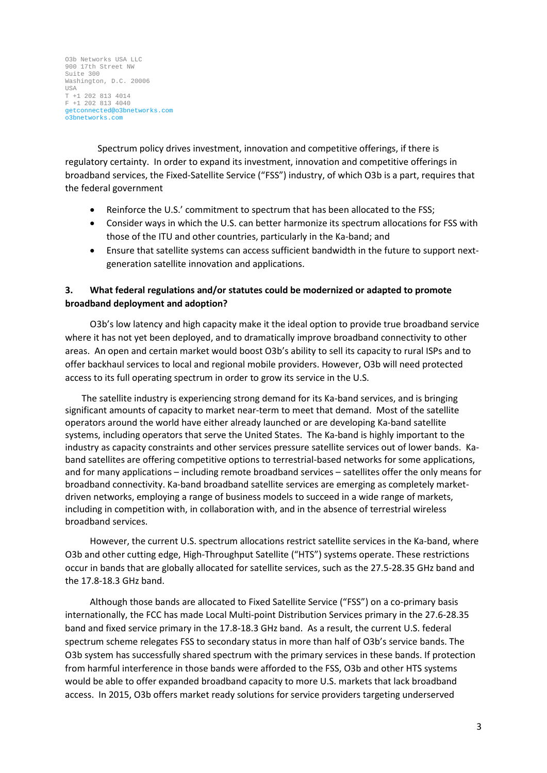Spectrum policy drives investment, innovation and competitive offerings, if there is regulatory certainty. In order to expand its investment, innovation and competitive offerings in broadband services, the Fixed-Satellite Service ("FSS") industry, of which O3b is a part, requires that the federal government

- Reinforce the U.S.' commitment to spectrum that has been allocated to the FSS;
- Consider ways in which the U.S. can better harmonize its spectrum allocations for FSS with those of the ITU and other countries, particularly in the Ka-band; and
- Ensure that satellite systems can access sufficient bandwidth in the future to support nextgeneration satellite innovation and applications.

# **3. What federal regulations and/or statutes could be modernized or adapted to promote broadband deployment and adoption?**

O3b's low latency and high capacity make it the ideal option to provide true broadband service where it has not yet been deployed, and to dramatically improve broadband connectivity to other areas. An open and certain market would boost O3b's ability to sell its capacity to rural ISPs and to offer backhaul services to local and regional mobile providers. However, O3b will need protected access to its full operating spectrum in order to grow its service in the U.S.

The satellite industry is experiencing strong demand for its Ka-band services, and is bringing significant amounts of capacity to market near-term to meet that demand. Most of the satellite operators around the world have either already launched or are developing Ka-band satellite systems, including operators that serve the United States. The Ka-band is highly important to the industry as capacity constraints and other services pressure satellite services out of lower bands. Kaband satellites are offering competitive options to terrestrial-based networks for some applications, and for many applications – including remote broadband services – satellites offer the only means for broadband connectivity. Ka-band broadband satellite services are emerging as completely marketdriven networks, employing a range of business models to succeed in a wide range of markets, including in competition with, in collaboration with, and in the absence of terrestrial wireless broadband services.

However, the current U.S. spectrum allocations restrict satellite services in the Ka-band, where O3b and other cutting edge, High-Throughput Satellite ("HTS") systems operate. These restrictions occur in bands that are globally allocated for satellite services, such as the 27.5-28.35 GHz band and the 17.8-18.3 GHz band.

Although those bands are allocated to Fixed Satellite Service ("FSS") on a co-primary basis internationally, the FCC has made Local Multi-point Distribution Services primary in the 27.6-28.35 band and fixed service primary in the 17.8-18.3 GHz band. As a result, the current U.S. federal spectrum scheme relegates FSS to secondary status in more than half of O3b's service bands. The O3b system has successfully shared spectrum with the primary services in these bands. If protection from harmful interference in those bands were afforded to the FSS, O3b and other HTS systems would be able to offer expanded broadband capacity to more U.S. markets that lack broadband access. In 2015, O3b offers market ready solutions for service providers targeting underserved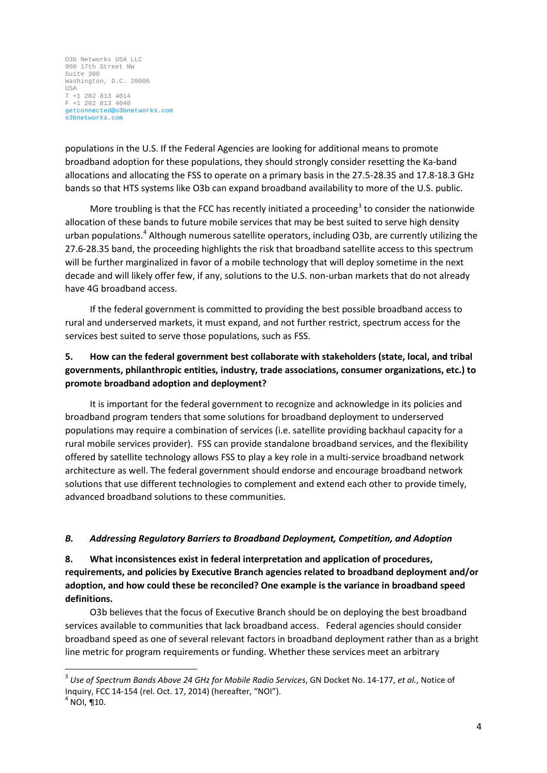populations in the U.S. If the Federal Agencies are looking for additional means to promote broadband adoption for these populations, they should strongly consider resetting the Ka-band allocations and allocating the FSS to operate on a primary basis in the 27.5-28.35 and 17.8-18.3 GHz bands so that HTS systems like O3b can expand broadband availability to more of the U.S. public.

More troubling is that the FCC has recently initiated a proceeding<sup>[3](#page-4-0)</sup> to consider the nationwide allocation of these bands to future mobile services that may be best suited to serve high density urban populations.<sup>[4](#page-4-1)</sup> Although numerous satellite operators, including O3b, are currently utilizing the 27.6-28.35 band, the proceeding highlights the risk that broadband satellite access to this spectrum will be further marginalized in favor of a mobile technology that will deploy sometime in the next decade and will likely offer few, if any, solutions to the U.S. non-urban markets that do not already have 4G broadband access.

If the federal government is committed to providing the best possible broadband access to rural and underserved markets, it must expand, and not further restrict, spectrum access for the services best suited to serve those populations, such as FSS.

# **5. How can the federal government best collaborate with stakeholders (state, local, and tribal governments, philanthropic entities, industry, trade associations, consumer organizations, etc.) to promote broadband adoption and deployment?**

It is important for the federal government to recognize and acknowledge in its policies and broadband program tenders that some solutions for broadband deployment to underserved populations may require a combination of services (i.e. satellite providing backhaul capacity for a rural mobile services provider). FSS can provide standalone broadband services, and the flexibility offered by satellite technology allows FSS to play a key role in a multi-service broadband network architecture as well. The federal government should endorse and encourage broadband network solutions that use different technologies to complement and extend each other to provide timely, advanced broadband solutions to these communities.

### *B. Addressing Regulatory Barriers to Broadband Deployment, Competition, and Adoption*

**8. What inconsistences exist in federal interpretation and application of procedures, requirements, and policies by Executive Branch agencies related to broadband deployment and/or adoption, and how could these be reconciled? One example is the variance in broadband speed definitions.**

O3b believes that the focus of Executive Branch should be on deploying the best broadband services available to communities that lack broadband access. Federal agencies should consider broadband speed as one of several relevant factors in broadband deployment rather than as a bright line metric for program requirements or funding. Whether these services meet an arbitrary

<span id="page-4-0"></span> <sup>3</sup> *Use of Spectrum Bands Above 24 GHz for Mobile Radio Services*, GN Docket No. 14-177, *et al.*, Notice of Inquiry, FCC 14-154 (rel. Oct. 17, 2014) (hereafter, "NOI"). 4 NOI, ¶10.

<span id="page-4-1"></span>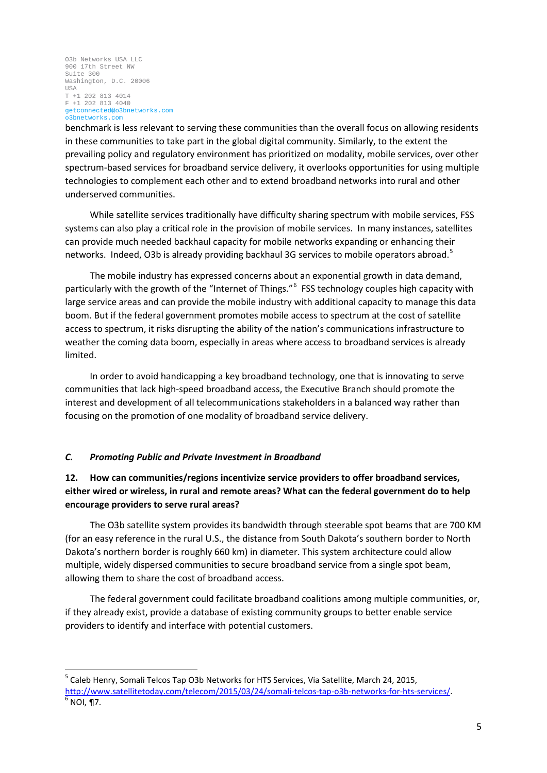benchmark is less relevant to serving these communities than the overall focus on allowing residents in these communities to take part in the global digital community. Similarly, to the extent the prevailing policy and regulatory environment has prioritized on modality, mobile services, over other spectrum-based services for broadband service delivery, it overlooks opportunities for using multiple technologies to complement each other and to extend broadband networks into rural and other underserved communities.

While satellite services traditionally have difficulty sharing spectrum with mobile services, FSS systems can also play a critical role in the provision of mobile services. In many instances, satellites can provide much needed backhaul capacity for mobile networks expanding or enhancing their networks. Indeed, O3b is already providing backhaul 3G services to mobile operators abroad.<sup>[5](#page-5-0)</sup>

The mobile industry has expressed concerns about an exponential growth in data demand, particularly with the growth of the "Internet of Things."<sup>[6](#page-5-1)</sup> FSS technology couples high capacity with large service areas and can provide the mobile industry with additional capacity to manage this data boom. But if the federal government promotes mobile access to spectrum at the cost of satellite access to spectrum, it risks disrupting the ability of the nation's communications infrastructure to weather the coming data boom, especially in areas where access to broadband services is already limited.

In order to avoid handicapping a key broadband technology, one that is innovating to serve communities that lack high-speed broadband access, the Executive Branch should promote the interest and development of all telecommunications stakeholders in a balanced way rather than focusing on the promotion of one modality of broadband service delivery.

### *C. Promoting Public and Private Investment in Broadband*

# **12. How can communities/regions incentivize service providers to offer broadband services, either wired or wireless, in rural and remote areas? What can the federal government do to help encourage providers to serve rural areas?**

The O3b satellite system provides its bandwidth through steerable spot beams that are 700 KM (for an easy reference in the rural U.S., the distance from South Dakota's southern border to North Dakota's northern border is roughly 660 km) in diameter. This system architecture could allow multiple, widely dispersed communities to secure broadband service from a single spot beam, allowing them to share the cost of broadband access.

The federal government could facilitate broadband coalitions among multiple communities, or, if they already exist, provide a database of existing community groups to better enable service providers to identify and interface with potential customers.

<span id="page-5-0"></span><sup>&</sup>lt;sup>5</sup> Caleb Henry, Somali Telcos Tap O3b Networks for HTS Services, Via Satellite, March 24, 2015,

<span id="page-5-1"></span>[http://www.satellitetoday.com/telecom/2015/03/24/somali-telcos-tap-o3b-networks-for-hts-services/.](http://www.satellitetoday.com/telecom/2015/03/24/somali-telcos-tap-o3b-networks-for-hts-services/)<br><sup>6</sup> NOI, ¶7.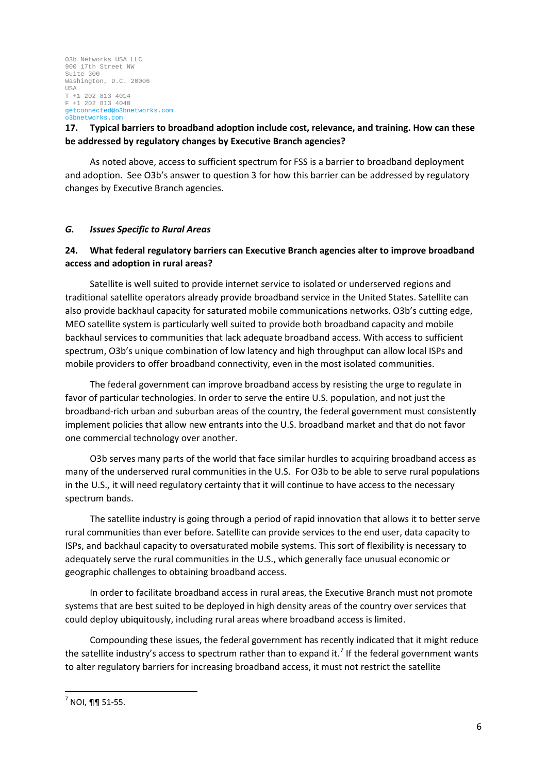# **17. Typical barriers to broadband adoption include cost, relevance, and training. How can these be addressed by regulatory changes by Executive Branch agencies?**

As noted above, access to sufficient spectrum for FSS is a barrier to broadband deployment and adoption. See O3b's answer to question 3 for how this barrier can be addressed by regulatory changes by Executive Branch agencies.

### *G. Issues Specific to Rural Areas*

# **24. What federal regulatory barriers can Executive Branch agencies alter to improve broadband access and adoption in rural areas?**

Satellite is well suited to provide internet service to isolated or underserved regions and traditional satellite operators already provide broadband service in the United States. Satellite can also provide backhaul capacity for saturated mobile communications networks. O3b's cutting edge, MEO satellite system is particularly well suited to provide both broadband capacity and mobile backhaul services to communities that lack adequate broadband access. With access to sufficient spectrum, O3b's unique combination of low latency and high throughput can allow local ISPs and mobile providers to offer broadband connectivity, even in the most isolated communities.

The federal government can improve broadband access by resisting the urge to regulate in favor of particular technologies. In order to serve the entire U.S. population, and not just the broadband-rich urban and suburban areas of the country, the federal government must consistently implement policies that allow new entrants into the U.S. broadband market and that do not favor one commercial technology over another.

O3b serves many parts of the world that face similar hurdles to acquiring broadband access as many of the underserved rural communities in the U.S. For O3b to be able to serve rural populations in the U.S., it will need regulatory certainty that it will continue to have access to the necessary spectrum bands.

The satellite industry is going through a period of rapid innovation that allows it to better serve rural communities than ever before. Satellite can provide services to the end user, data capacity to ISPs, and backhaul capacity to oversaturated mobile systems. This sort of flexibility is necessary to adequately serve the rural communities in the U.S., which generally face unusual economic or geographic challenges to obtaining broadband access.

In order to facilitate broadband access in rural areas, the Executive Branch must not promote systems that are best suited to be deployed in high density areas of the country over services that could deploy ubiquitously, including rural areas where broadband access is limited.

Compounding these issues, the federal government has recently indicated that it might reduce the satellite industry's access to spectrum rather than to expand it.<sup>[7](#page-6-0)</sup> If the federal government wants to alter regulatory barriers for increasing broadband access, it must not restrict the satellite

<span id="page-6-0"></span> $<sup>7</sup>$  NOI, ¶¶ 51-55.</sup>